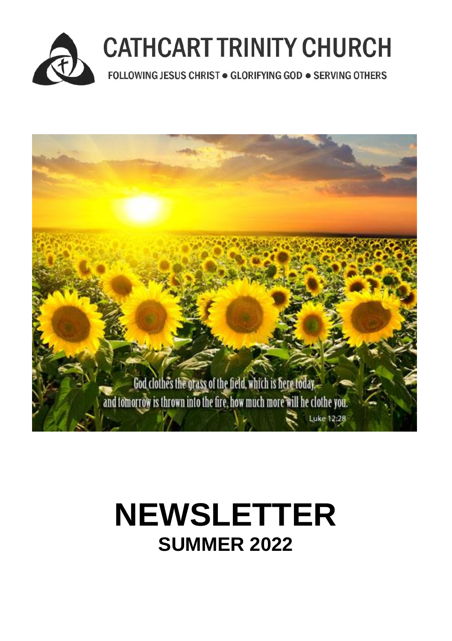



# **NEWSLETTER SUMMER 2022**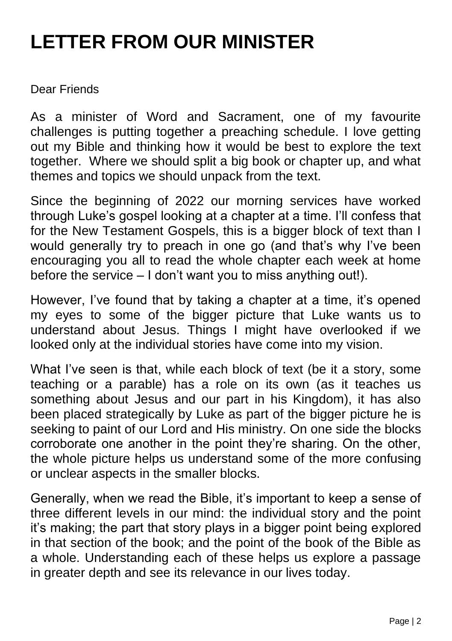## **LETTER FROM OUR MINISTER**

Dear Friends

As a minister of Word and Sacrament, one of my favourite challenges is putting together a preaching schedule. I love getting out my Bible and thinking how it would be best to explore the text together. Where we should split a big book or chapter up, and what themes and topics we should unpack from the text.

Since the beginning of 2022 our morning services have worked through Luke's gospel looking at a chapter at a time. I'll confess that for the New Testament Gospels, this is a bigger block of text than I would generally try to preach in one go (and that's why I've been encouraging you all to read the whole chapter each week at home before the service – I don't want you to miss anything out!).

However, I've found that by taking a chapter at a time, it's opened my eyes to some of the bigger picture that Luke wants us to understand about Jesus. Things I might have overlooked if we looked only at the individual stories have come into my vision.

What I've seen is that, while each block of text (be it a story, some teaching or a parable) has a role on its own (as it teaches us something about Jesus and our part in his Kingdom), it has also been placed strategically by Luke as part of the bigger picture he is seeking to paint of our Lord and His ministry. On one side the blocks corroborate one another in the point they're sharing. On the other, the whole picture helps us understand some of the more confusing or unclear aspects in the smaller blocks.

Generally, when we read the Bible, it's important to keep a sense of three different levels in our mind: the individual story and the point it's making; the part that story plays in a bigger point being explored in that section of the book; and the point of the book of the Bible as a whole. Understanding each of these helps us explore a passage in greater depth and see its relevance in our lives today.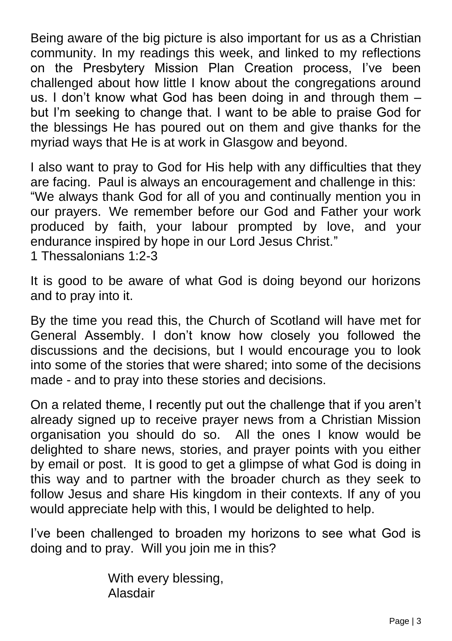Being aware of the big picture is also important for us as a Christian community. In my readings this week, and linked to my reflections on the Presbytery Mission Plan Creation process, I've been challenged about how little I know about the congregations around us. I don't know what God has been doing in and through them – but I'm seeking to change that. I want to be able to praise God for the blessings He has poured out on them and give thanks for the myriad ways that He is at work in Glasgow and beyond.

I also want to pray to God for His help with any difficulties that they are facing. Paul is always an encouragement and challenge in this: "We always thank God for all of you and continually mention you in our prayers. We remember before our God and Father your work produced by faith, your labour prompted by love, and your endurance inspired by hope in our Lord Jesus Christ."

1 Thessalonians 1:2-3

It is good to be aware of what God is doing beyond our horizons and to pray into it.

By the time you read this, the Church of Scotland will have met for General Assembly. I don't know how closely you followed the discussions and the decisions, but I would encourage you to look into some of the stories that were shared; into some of the decisions made - and to pray into these stories and decisions.

On a related theme, I recently put out the challenge that if you aren't already signed up to receive prayer news from a Christian Mission organisation you should do so. All the ones I know would be delighted to share news, stories, and prayer points with you either by email or post. It is good to get a glimpse of what God is doing in this way and to partner with the broader church as they seek to follow Jesus and share His kingdom in their contexts. If any of you would appreciate help with this, I would be delighted to help.

I've been challenged to broaden my horizons to see what God is doing and to pray. Will you join me in this?

> With every blessing, Alasdair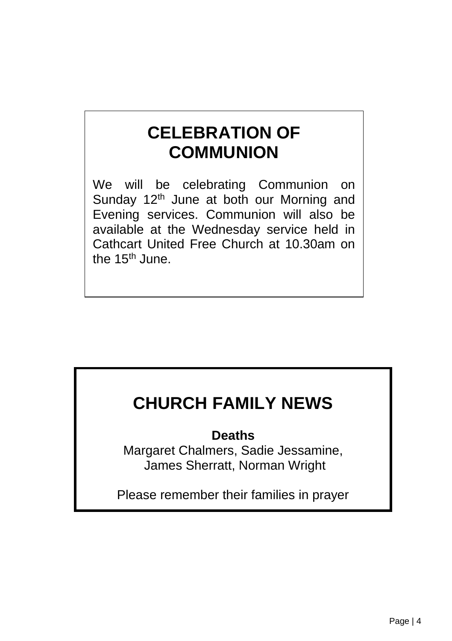#### **CELEBRATION OF COMMUNION**

We will be celebrating Communion on Sunday 12<sup>th</sup> June at both our Morning and Evening services. Communion will also be available at the Wednesday service held in Cathcart United Free Church at 10.30am on the 15<sup>th</sup> June.

#### **CHURCH FAMILY NEWS**

**Deaths**

Margaret Chalmers, Sadie Jessamine, James Sherratt, Norman Wright

Please remember their families in prayer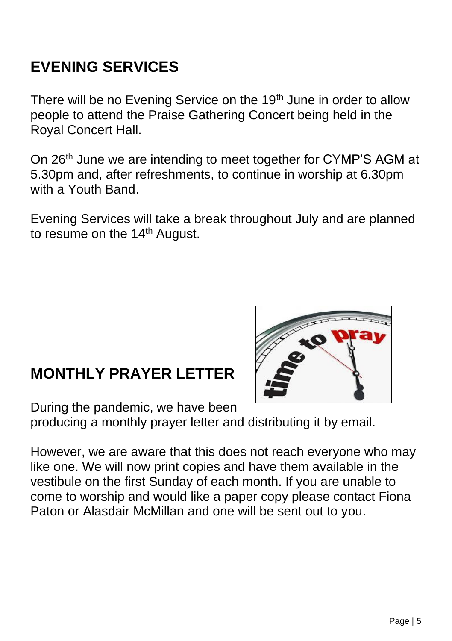#### **EVENING SERVICES**

There will be no Evening Service on the 19<sup>th</sup> June in order to allow people to attend the Praise Gathering Concert being held in the Royal Concert Hall.

On 26<sup>th</sup> June we are intending to meet together for CYMP'S AGM at 5.30pm and, after refreshments, to continue in worship at 6.30pm with a Youth Band

Evening Services will take a break throughout July and are planned to resume on the 14<sup>th</sup> August.

#### **MONTHLY PRAYER LETTER**



During the pandemic, we have been

producing a monthly prayer letter and distributing it by email.

However, we are aware that this does not reach everyone who may like one. We will now print copies and have them available in the vestibule on the first Sunday of each month. If you are unable to come to worship and would like a paper copy please contact Fiona Paton or Alasdair McMillan and one will be sent out to you.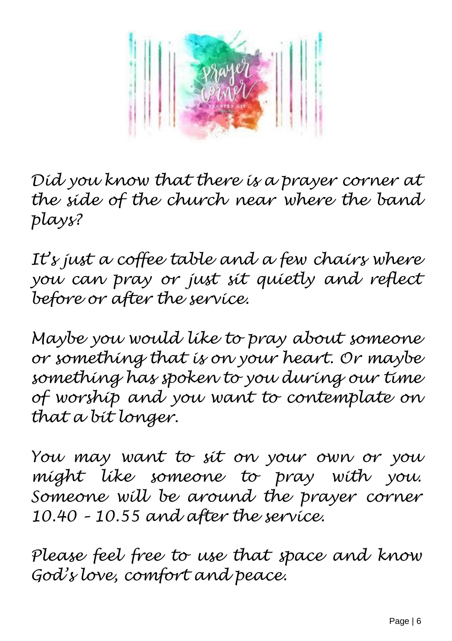

*Did you know that there is a prayer corner at the side of the church near where the band plays?* 

*It's just a coffee table and a few chairs where you can pray or just sit quietly and reflect before or after the service.* 

*Maybe you would like to pray about someone or something that is on your heart. Or maybe something has spoken to you during our time of worship and you want to contemplate on that a bit longer.*

*You may want to sit on your own or you might like someone to pray with you. Someone will be around the prayer corner 10.40 – 10.55 and after the service.*

*Please feel free to use that space and know God's love, comfort and peace.*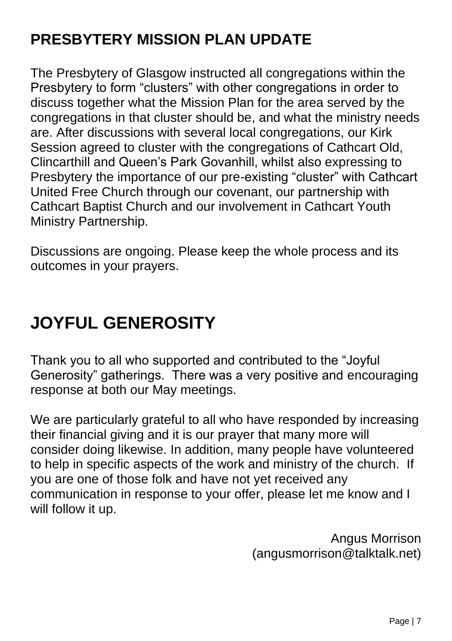#### **PRESBYTERY MISSION PLAN UPDATE**

The Presbytery of Glasgow instructed all congregations within the Presbytery to form "clusters" with other congregations in order to discuss together what the Mission Plan for the area served by the congregations in that cluster should be, and what the ministry needs are. After discussions with several local congregations, our Kirk Session agreed to cluster with the congregations of Cathcart Old, Clincarthill and Queen's Park Govanhill, whilst also expressing to Presbytery the importance of our pre-existing "cluster" with Cathcart United Free Church through our covenant, our partnership with Cathcart Baptist Church and our involvement in Cathcart Youth Ministry Partnership.

Discussions are ongoing. Please keep the whole process and its outcomes in your prayers.

#### **JOYFUL GENEROSITY**

Thank you to all who supported and contributed to the "Joyful Generosity" gatherings. There was a very positive and encouraging response at both our May meetings.

We are particularly grateful to all who have responded by increasing their financial giving and it is our prayer that many more will consider doing likewise. In addition, many people have volunteered to help in specific aspects of the work and ministry of the church. If you are one of those folk and have not yet received any communication in response to your offer, please let me know and I will follow it up.

> Angus Morrison (angusmorrison@talktalk.net)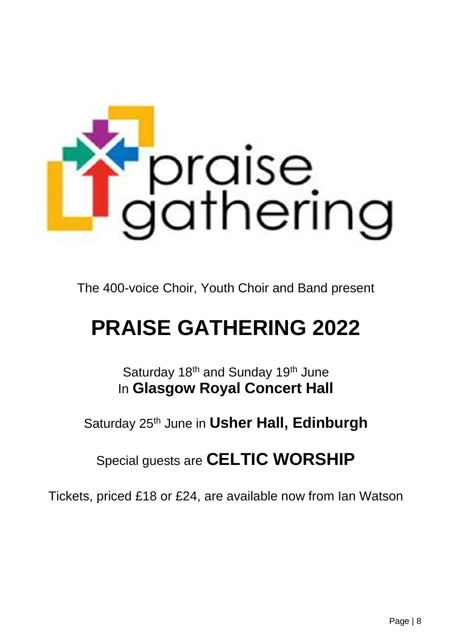

The 400-voice Choir, Youth Choir and Band present

## **PRAISE GATHERING 2022**

Saturday 18<sup>th</sup> and Sunday 19<sup>th</sup> June In **Glasgow Royal Concert Hall**

Saturday 25th June in **Usher Hall, Edinburgh**

Special guests are **CELTIC WORSHIP**

Tickets, priced £18 or £24, are available now from Ian Watson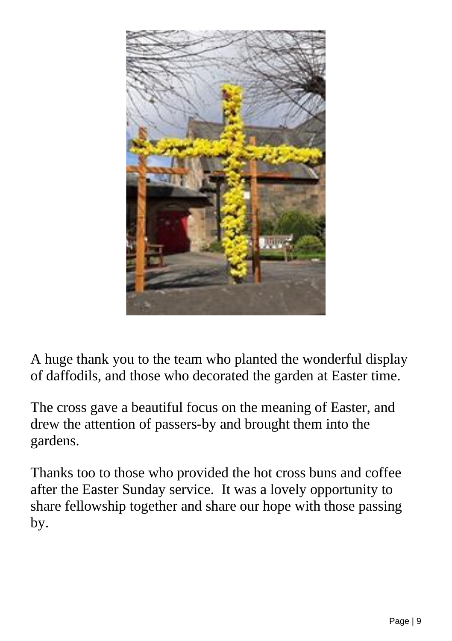

A huge thank you to the team who planted the wonderful display of daffodils, and those who decorated the garden at Easter time.

The cross gave a beautiful focus on the meaning of Easter, and drew the attention of passers-by and brought them into the gardens.

Thanks too to those who provided the hot cross buns and coffee after the Easter Sunday service. It was a lovely opportunity to share fellowship together and share our hope with those passing by.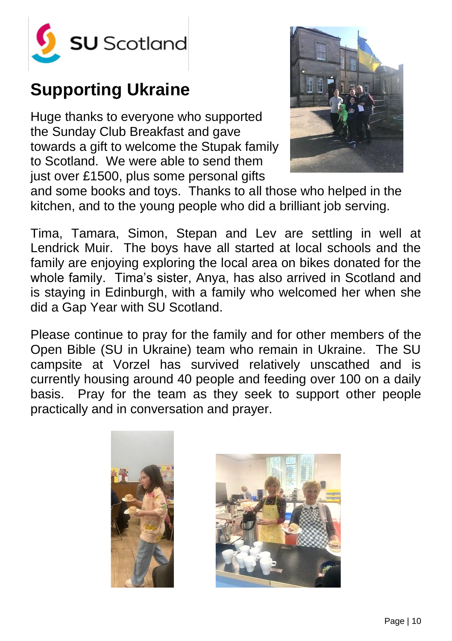

#### **Supporting Ukraine**

Huge thanks to everyone who supported the Sunday Club Breakfast and gave towards a gift to welcome the Stupak family to Scotland. We were able to send them just over £1500, plus some personal gifts



and some books and toys. Thanks to all those who helped in the kitchen, and to the young people who did a brilliant job serving.

Tima, Tamara, Simon, Stepan and Lev are settling in well at Lendrick Muir. The boys have all started at local schools and the family are enjoying exploring the local area on bikes donated for the whole family. Tima's sister, Anya, has also arrived in Scotland and is staying in Edinburgh, with a family who welcomed her when she did a Gap Year with SU Scotland.

Please continue to pray for the family and for other members of the Open Bible (SU in Ukraine) team who remain in Ukraine. The SU campsite at Vorzel has survived relatively unscathed and is currently housing around 40 people and feeding over 100 on a daily basis. Pray for the team as they seek to support other people practically and in conversation and prayer.



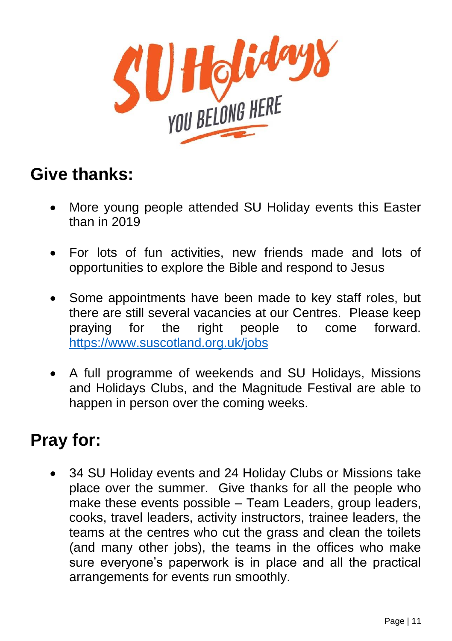

#### **Give thanks:**

- More young people attended SU Holiday events this Easter than in 2019
- For lots of fun activities, new friends made and lots of opportunities to explore the Bible and respond to Jesus
- Some appointments have been made to key staff roles, but there are still several vacancies at our Centres. Please keep praying for the right people to come forward. <https://www.suscotland.org.uk/jobs>
- A full programme of weekends and SU Holidays, Missions and Holidays Clubs, and the Magnitude Festival are able to happen in person over the coming weeks.

#### **Pray for:**

• 34 SU Holiday events and 24 Holiday Clubs or Missions take place over the summer. Give thanks for all the people who make these events possible – Team Leaders, group leaders, cooks, travel leaders, activity instructors, trainee leaders, the teams at the centres who cut the grass and clean the toilets (and many other jobs), the teams in the offices who make sure everyone's paperwork is in place and all the practical arrangements for events run smoothly.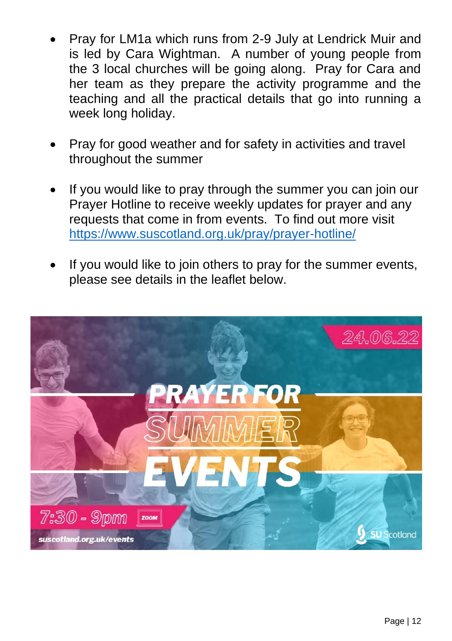- Pray for LM1a which runs from 2-9 July at Lendrick Muir and is led by Cara Wightman. A number of young people from the 3 local churches will be going along. Pray for Cara and her team as they prepare the activity programme and the teaching and all the practical details that go into running a week long holiday.
- Pray for good weather and for safety in activities and travel throughout the summer
- If you would like to pray through the summer you can join our Prayer Hotline to receive weekly updates for prayer and any requests that come in from events. To find out more visit <https://www.suscotland.org.uk/pray/prayer-hotline/>
- If you would like to join others to pray for the summer events, please see details in the leaflet below.

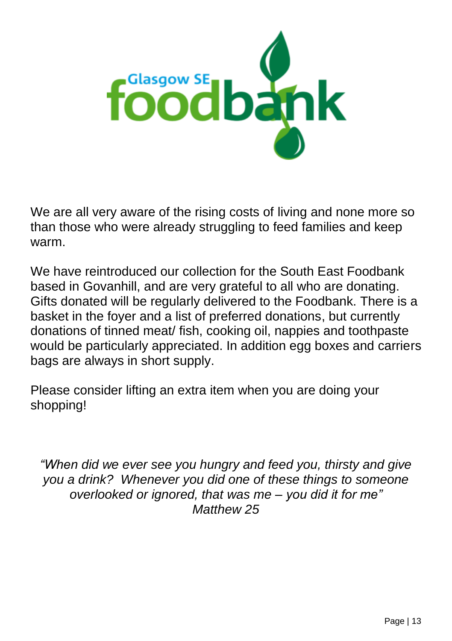

We are all very aware of the rising costs of living and none more so than those who were already struggling to feed families and keep warm.

We have reintroduced our collection for the South East Foodbank based in Govanhill, and are very grateful to all who are donating. Gifts donated will be regularly delivered to the Foodbank. There is a basket in the foyer and a list of preferred donations, but currently donations of tinned meat/ fish, cooking oil, nappies and toothpaste would be particularly appreciated. In addition egg boxes and carriers bags are always in short supply.

Please consider lifting an extra item when you are doing your shopping!

*"When did we ever see you hungry and feed you, thirsty and give you a drink? Whenever you did one of these things to someone overlooked or ignored, that was me – you did it for me" Matthew 25*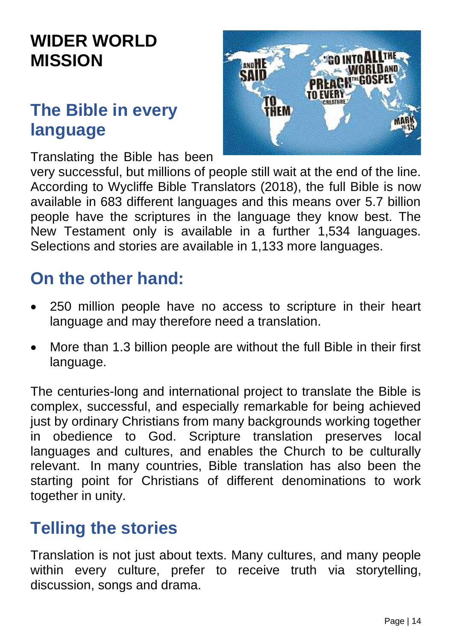#### **WIDER WORLD MISSION**

#### **The Bible in every language**

Translating the Bible has been



very successful, but millions of people still wait at the end of the line. According to Wycliffe Bible Translators (2018), the full Bible is now available in 683 different languages and this means over 5.7 billion people have the scriptures in the language they know best. The New Testament only is available in a further 1,534 languages. Selections and stories are available in 1,133 more languages.

#### **On the other hand:**

- 250 million people have no access to scripture in their heart language and may therefore need a translation.
- More than 1.3 billion people are without the full Bible in their first language.

The centuries-long and international project to translate the Bible is complex, successful, and especially remarkable for being achieved just by ordinary Christians from many backgrounds working together in obedience to God. Scripture translation preserves local languages and cultures, and enables the Church to be culturally relevant. In many countries, Bible translation has also been the starting point for Christians of different denominations to work together in unity.

#### **Telling the stories**

Translation is not just about texts. Many cultures, and many people within every culture, prefer to receive truth via storytelling, discussion, songs and drama.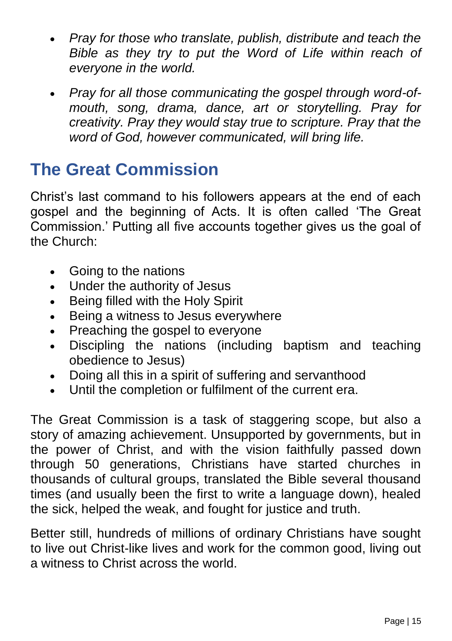- *Pray for those who translate, publish, distribute and teach the Bible as they try to put the Word of Life within reach of everyone in the world.*
- *Pray for all those communicating the gospel through word-ofmouth, song, drama, dance, art or storytelling. Pray for creativity. Pray they would stay true to scripture. Pray that the word of God, however communicated, will bring life.*

#### **The Great Commission**

Christ's last command to his followers appears at the end of each gospel and the beginning of Acts. It is often called 'The Great Commission.' Putting all five accounts together gives us the goal of the Church:

- Going to the nations
- Under the authority of Jesus
- Being filled with the Holy Spirit
- Being a witness to Jesus everywhere
- Preaching the gospel to everyone
- Discipling the nations (including baptism and teaching obedience to Jesus)
- Doing all this in a spirit of suffering and servanthood
- Until the completion or fulfilment of the current era.

The Great Commission is a task of staggering scope, but also a story of amazing achievement. Unsupported by governments, but in the power of Christ, and with the vision faithfully passed down through 50 generations, Christians have started churches in thousands of cultural groups, translated the Bible several thousand times (and usually been the first to write a language down), healed the sick, helped the weak, and fought for justice and truth.

Better still, hundreds of millions of ordinary Christians have sought to live out Christ-like lives and work for the common good, living out a witness to Christ across the world.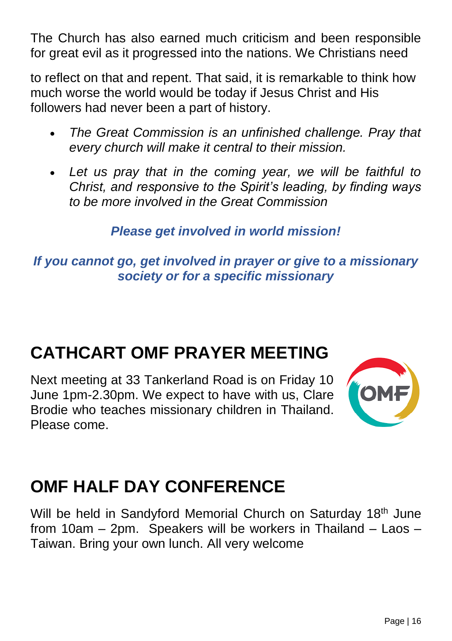The Church has also earned much criticism and been responsible for great evil as it progressed into the nations. We Christians need

to reflect on that and repent. That said, it is remarkable to think how much worse the world would be today if Jesus Christ and His followers had never been a part of history.

- *The Great Commission is an unfinished challenge. Pray that every church will make it central to their mission.*
- *Let us pray that in the coming year, we will be faithful to Christ, and responsive to the Spirit's leading, by finding ways to be more involved in the Great Commission*

*Please get involved in world mission!*

*If you cannot go, get involved in prayer or give to a missionary society or for a specific missionary*

#### **CATHCART OMF PRAYER MEETING**

Next meeting at 33 Tankerland Road is on Friday 10 June 1pm-2.30pm. We expect to have with us, Clare Brodie who teaches missionary children in Thailand. Please come.



#### **OMF HALF DAY CONFERENCE**

Will be held in Sandyford Memorial Church on Saturday 18<sup>th</sup> June from 10am – 2pm. Speakers will be workers in Thailand – Laos – Taiwan. Bring your own lunch. All very welcome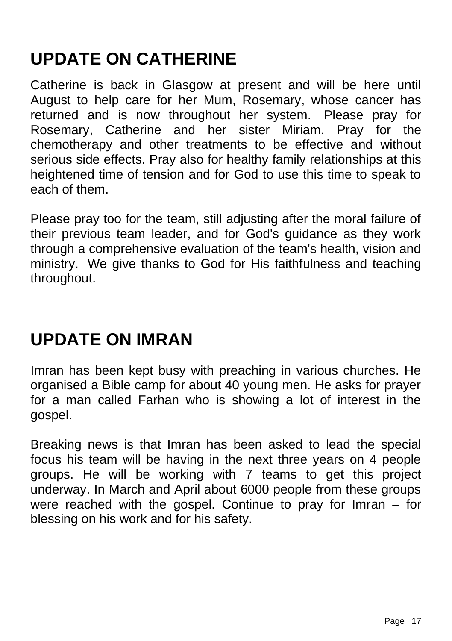#### **UPDATE ON CATHERINE**

Catherine is back in Glasgow at present and will be here until August to help care for her Mum, Rosemary, whose cancer has returned and is now throughout her system. Please pray for Rosemary, Catherine and her sister Miriam. Pray for the chemotherapy and other treatments to be effective and without serious side effects. Pray also for healthy family relationships at this heightened time of tension and for God to use this time to speak to each of them.

Please pray too for the team, still adjusting after the moral failure of their previous team leader, and for God's guidance as they work through a comprehensive evaluation of the team's health, vision and ministry. We give thanks to God for His faithfulness and teaching throughout.

#### **UPDATE ON IMRAN**

Imran has been kept busy with preaching in various churches. He organised a Bible camp for about 40 young men. He asks for prayer for a man called Farhan who is showing a lot of interest in the gospel.

Breaking news is that Imran has been asked to lead the special focus his team will be having in the next three years on 4 people groups. He will be working with 7 teams to get this project underway. In March and April about 6000 people from these groups were reached with the gospel. Continue to pray for Imran – for blessing on his work and for his safety.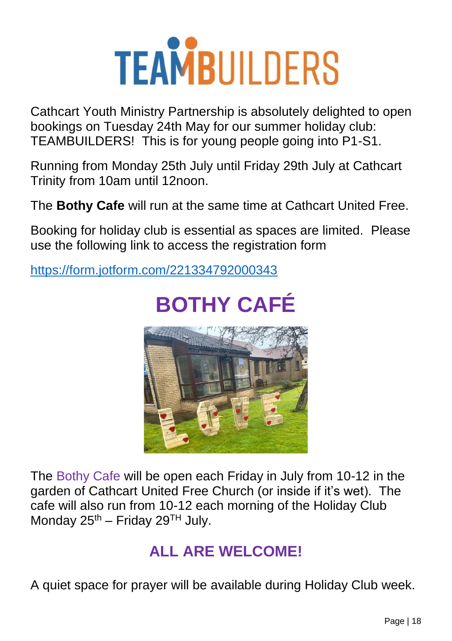# **TEAMBUILDERS**

Cathcart Youth Ministry Partnership is absolutely delighted to open bookings on Tuesday 24th May for our summer holiday club: TEAMBUILDERS! This is for young people going into P1-S1.

Running from Monday 25th July until Friday 29th July at Cathcart Trinity from 10am until 12noon.

The **Bothy Cafe** will run at the same time at Cathcart United Free.

Booking for holiday club is essential as spaces are limited. Please use the following link to access the registration form

<https://form.jotform.com/221334792000343>

# **BOTHY CAFÉ**



The Bothy Cafe will be open each Friday in July from 10-12 in the garden of Cathcart United Free Church (or inside if it's wet). The cafe will also run from 10-12 each morning of the Holiday Club Monday  $25^{th}$  – Friday  $29^{TH}$  July.

#### **ALL ARE WELCOME!**

A quiet space for prayer will be available during Holiday Club week.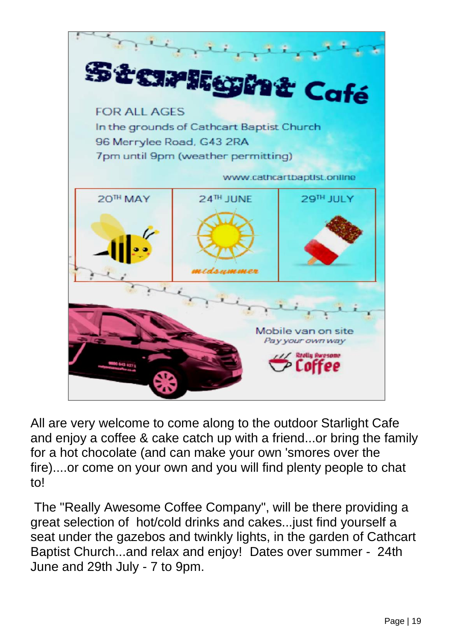

All are very welcome to come along to the outdoor Starlight Cafe and enjoy a coffee & cake catch up with a friend...or bring the family for a hot chocolate (and can make your own 'smores over the fire)....or come on your own and you will find plenty people to chat to!

The "Really Awesome Coffee Company", will be there providing a great selection of hot/cold drinks and cakes...just find yourself a seat under the gazebos and twinkly lights, in the garden of Cathcart Baptist Church...and relax and enjoy! Dates over summer - 24th June and 29th July - 7 to 9pm.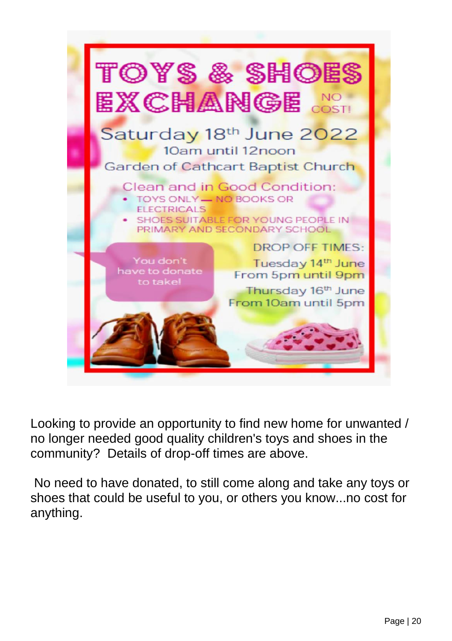

Looking to provide an opportunity to find new home for unwanted / no longer needed good quality children's toys and shoes in the community? Details of drop-off times are above.

No need to have donated, to still come along and take any toys or shoes that could be useful to you, or others you know...no cost for anything.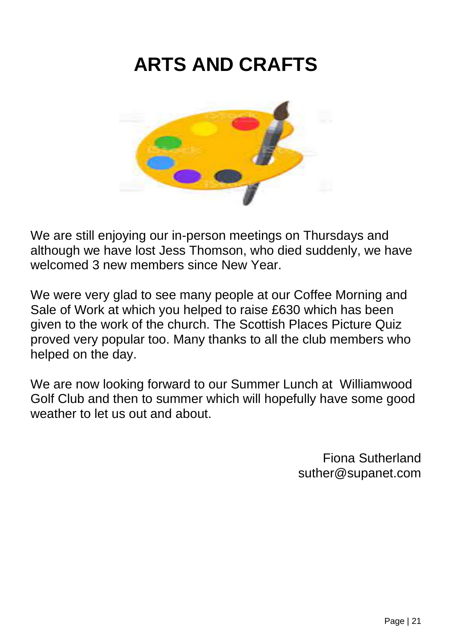### **ARTS AND CRAFTS**



We are still enjoying our in-person meetings on Thursdays and although we have lost Jess Thomson, who died suddenly, we have welcomed 3 new members since New Year.

We were very glad to see many people at our Coffee Morning and Sale of Work at which you helped to raise £630 which has been given to the work of the church. The Scottish Places Picture Quiz proved very popular too. Many thanks to all the club members who helped on the day.

We are now looking forward to our Summer Lunch at Williamwood Golf Club and then to summer which will hopefully have some good weather to let us out and about.

> Fiona Sutherland suther@supanet.com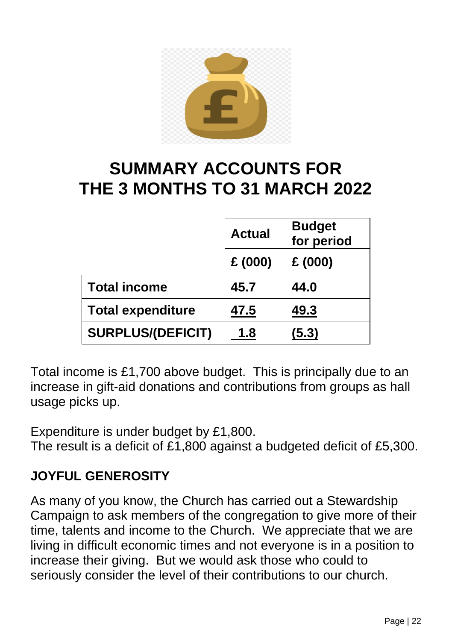

#### **SUMMARY ACCOUNTS FOR THE 3 MONTHS TO 31 MARCH 2022**

|                          | <b>Actual</b> | <b>Budget</b><br>for period |
|--------------------------|---------------|-----------------------------|
|                          | £(000)        | £(000)                      |
| <b>Total income</b>      | 45.7          | 44.0                        |
| <b>Total expenditure</b> | 47.5          | 49.3                        |
| <b>SURPLUS/(DEFICIT)</b> | 1.8           | (5.3)                       |

Total income is £1,700 above budget. This is principally due to an increase in gift-aid donations and contributions from groups as hall usage picks up.

Expenditure is under budget by £1,800.

The result is a deficit of £1,800 against a budgeted deficit of £5,300.

#### **JOYFUL GENEROSITY**

As many of you know, the Church has carried out a Stewardship Campaign to ask members of the congregation to give more of their time, talents and income to the Church. We appreciate that we are living in difficult economic times and not everyone is in a position to increase their giving. But we would ask those who could to seriously consider the level of their contributions to our church.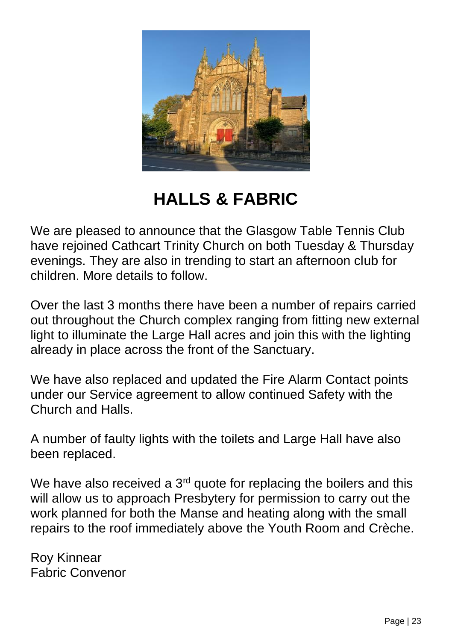

**HALLS & FABRIC**

We are pleased to announce that the Glasgow Table Tennis Club have rejoined Cathcart Trinity Church on both Tuesday & Thursday evenings. They are also in trending to start an afternoon club for children. More details to follow.

Over the last 3 months there have been a number of repairs carried out throughout the Church complex ranging from fitting new external light to illuminate the Large Hall acres and join this with the lighting already in place across the front of the Sanctuary.

We have also replaced and updated the Fire Alarm Contact points under our Service agreement to allow continued Safety with the Church and Halls.

A number of faulty lights with the toilets and Large Hall have also been replaced.

We have also received a 3<sup>rd</sup> quote for replacing the boilers and this will allow us to approach Presbytery for permission to carry out the work planned for both the Manse and heating along with the small repairs to the roof immediately above the Youth Room and Crèche.

Roy Kinnear Fabric Convenor